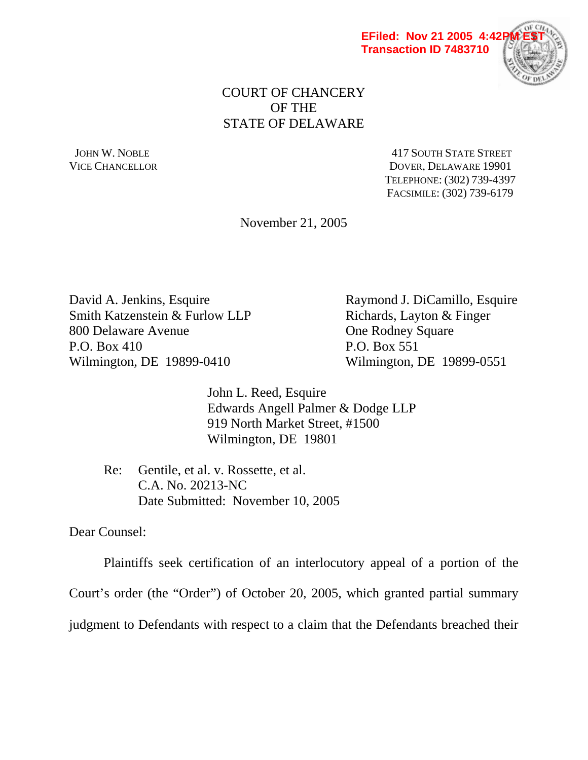

## COURT OF CHANCERY OF THE STATE OF DELAWARE

JOHN W. NOBLE **AND STATE STREET** 417 SOUTH STATE STREET VICE CHANCELLOR DOVER, DELAWARE 19901 TELEPHONE: (302) 739-4397 FACSIMILE: (302) 739-6179

November 21, 2005

David A. Jenkins, Esquire Raymond J. DiCamillo, Esquire Smith Katzenstein & Furlow LLP Richards, Layton & Finger 800 Delaware Avenue **One Rodney Square** P.O. Box 410 P.O. Box 551 Wilmington, DE 19899-0410 Wilmington, DE 19899-0551

 John L. Reed, Esquire Edwards Angell Palmer & Dodge LLP 919 North Market Street, #1500 Wilmington, DE 19801

 Re: Gentile, et al. v. Rossette, et al. C.A. No. 20213-NC Date Submitted: November 10, 2005

Dear Counsel:

Plaintiffs seek certification of an interlocutory appeal of a portion of the

Court's order (the "Order") of October 20, 2005, which granted partial summary

judgment to Defendants with respect to a claim that the Defendants breached their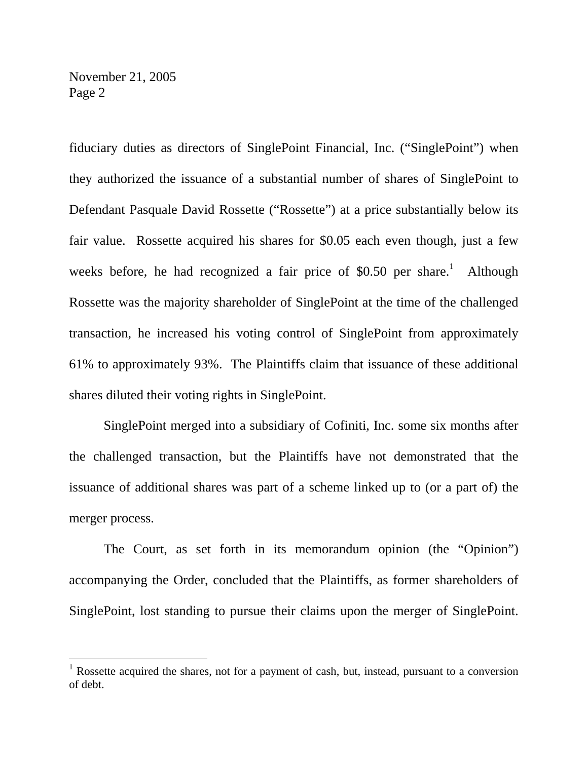fiduciary duties as directors of SinglePoint Financial, Inc. ("SinglePoint") when they authorized the issuance of a substantial number of shares of SinglePoint to Defendant Pasquale David Rossette ("Rossette") at a price substantially below its fair value. Rossette acquired his shares for \$0.05 each even though, just a few weeks before, he had recognized a fair price of \$0.50 per share.<sup>1</sup> Although Rossette was the majority shareholder of SinglePoint at the time of the challenged transaction, he increased his voting control of SinglePoint from approximately 61% to approximately 93%. The Plaintiffs claim that issuance of these additional shares diluted their voting rights in SinglePoint.

 SinglePoint merged into a subsidiary of Cofiniti, Inc. some six months after the challenged transaction, but the Plaintiffs have not demonstrated that the issuance of additional shares was part of a scheme linked up to (or a part of) the merger process.

 The Court, as set forth in its memorandum opinion (the "Opinion") accompanying the Order, concluded that the Plaintiffs, as former shareholders of SinglePoint, lost standing to pursue their claims upon the merger of SinglePoint.

<sup>&</sup>lt;sup>1</sup> Rossette acquired the shares, not for a payment of cash, but, instead, pursuant to a conversion of debt.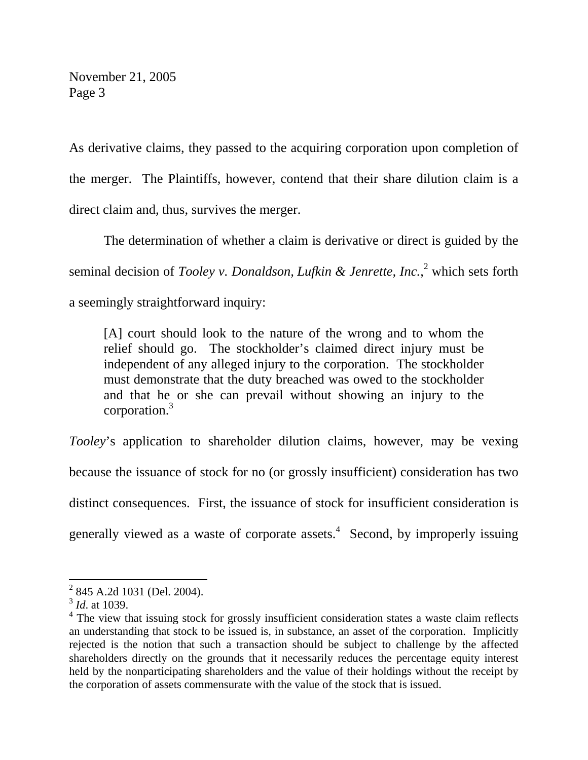As derivative claims, they passed to the acquiring corporation upon completion of the merger. The Plaintiffs, however, contend that their share dilution claim is a direct claim and, thus, survives the merger.

 The determination of whether a claim is derivative or direct is guided by the seminal decision of *Tooley v. Donaldson, Lufkin & Jenrette, Inc.*<sup>2</sup> which sets forth a seemingly straightforward inquiry:

[A] court should look to the nature of the wrong and to whom the relief should go. The stockholder's claimed direct injury must be independent of any alleged injury to the corporation. The stockholder must demonstrate that the duty breached was owed to the stockholder and that he or she can prevail without showing an injury to the corporation.3

*Tooley*'s application to shareholder dilution claims, however, may be vexing because the issuance of stock for no (or grossly insufficient) consideration has two distinct consequences. First, the issuance of stock for insufficient consideration is generally viewed as a waste of corporate assets. $4$  Second, by improperly issuing

 2 845 A.2d 1031 (Del. 2004).

<sup>3</sup> *Id*. at 1039.

<sup>&</sup>lt;sup>4</sup> The view that issuing stock for grossly insufficient consideration states a waste claim reflects an understanding that stock to be issued is, in substance, an asset of the corporation. Implicitly rejected is the notion that such a transaction should be subject to challenge by the affected shareholders directly on the grounds that it necessarily reduces the percentage equity interest held by the nonparticipating shareholders and the value of their holdings without the receipt by the corporation of assets commensurate with the value of the stock that is issued.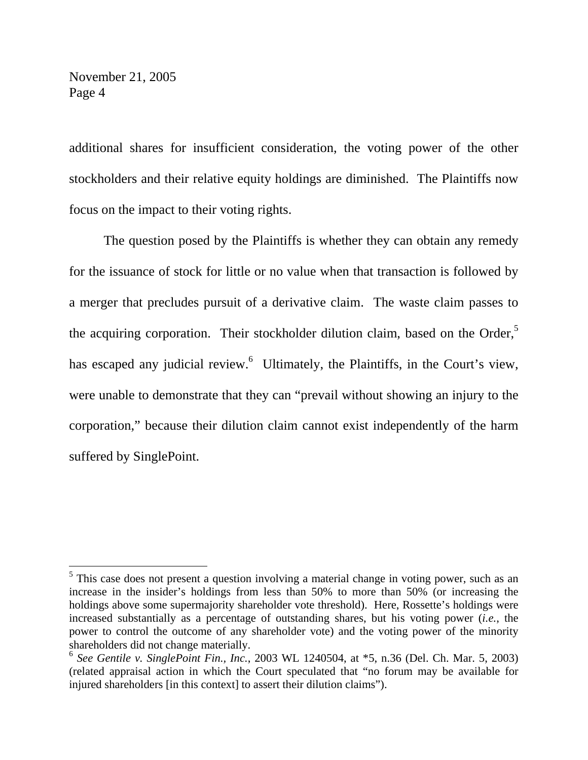$\overline{a}$ 

additional shares for insufficient consideration, the voting power of the other stockholders and their relative equity holdings are diminished. The Plaintiffs now focus on the impact to their voting rights.

 The question posed by the Plaintiffs is whether they can obtain any remedy for the issuance of stock for little or no value when that transaction is followed by a merger that precludes pursuit of a derivative claim. The waste claim passes to the acquiring corporation. Their stockholder dilution claim, based on the Order,<sup>5</sup> has escaped any judicial review.<sup>6</sup> Ultimately, the Plaintiffs, in the Court's view, were unable to demonstrate that they can "prevail without showing an injury to the corporation," because their dilution claim cannot exist independently of the harm suffered by SinglePoint.

<sup>&</sup>lt;sup>5</sup> This case does not present a question involving a material change in voting power, such as an increase in the insider's holdings from less than 50% to more than 50% (or increasing the holdings above some supermajority shareholder vote threshold). Here, Rossette's holdings were increased substantially as a percentage of outstanding shares, but his voting power (*i.e.*, the power to control the outcome of any shareholder vote) and the voting power of the minority shareholders did not change materially.

<sup>6</sup> *See Gentile v. SinglePoint Fin., Inc.*, 2003 WL 1240504, at \*5, n.36 (Del. Ch. Mar. 5, 2003) (related appraisal action in which the Court speculated that "no forum may be available for injured shareholders [in this context] to assert their dilution claims").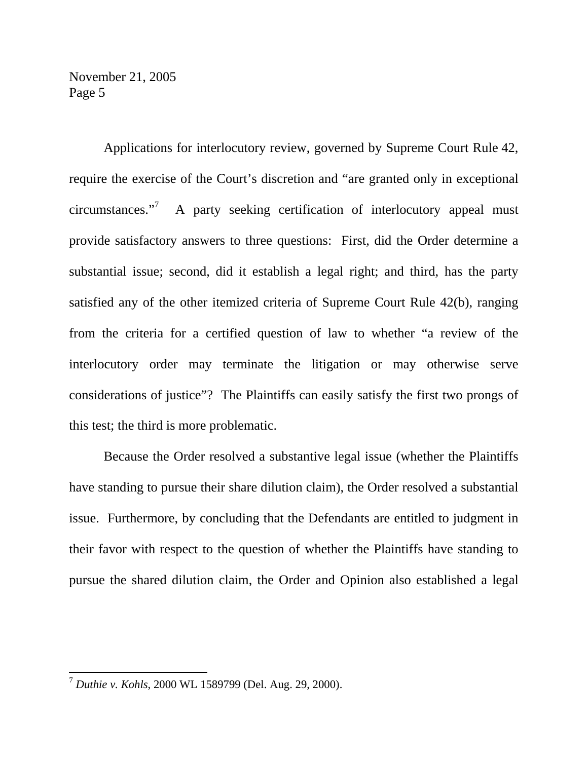Applications for interlocutory review, governed by Supreme Court Rule 42, require the exercise of the Court's discretion and "are granted only in exceptional circumstances."<sup>7</sup> A party seeking certification of interlocutory appeal must provide satisfactory answers to three questions: First, did the Order determine a substantial issue; second, did it establish a legal right; and third, has the party satisfied any of the other itemized criteria of Supreme Court Rule 42(b), ranging from the criteria for a certified question of law to whether "a review of the interlocutory order may terminate the litigation or may otherwise serve considerations of justice"? The Plaintiffs can easily satisfy the first two prongs of this test; the third is more problematic.

 Because the Order resolved a substantive legal issue (whether the Plaintiffs have standing to pursue their share dilution claim), the Order resolved a substantial issue. Furthermore, by concluding that the Defendants are entitled to judgment in their favor with respect to the question of whether the Plaintiffs have standing to pursue the shared dilution claim, the Order and Opinion also established a legal

 $\overline{a}$ 

<sup>7</sup> *Duthie v. Kohls*, 2000 WL 1589799 (Del. Aug. 29, 2000).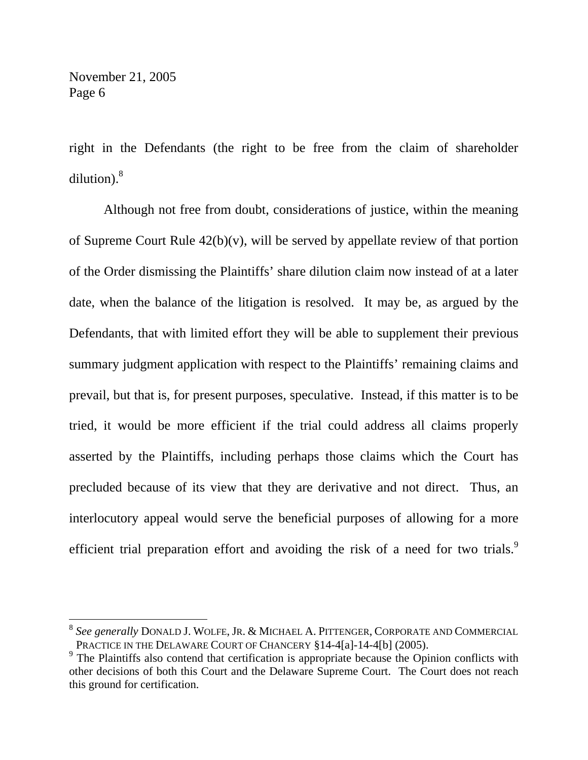$\overline{a}$ 

right in the Defendants (the right to be free from the claim of shareholder dilution).<sup>8</sup>

 Although not free from doubt, considerations of justice, within the meaning of Supreme Court Rule 42(b)(v), will be served by appellate review of that portion of the Order dismissing the Plaintiffs' share dilution claim now instead of at a later date, when the balance of the litigation is resolved. It may be, as argued by the Defendants, that with limited effort they will be able to supplement their previous summary judgment application with respect to the Plaintiffs' remaining claims and prevail, but that is, for present purposes, speculative. Instead, if this matter is to be tried, it would be more efficient if the trial could address all claims properly asserted by the Plaintiffs, including perhaps those claims which the Court has precluded because of its view that they are derivative and not direct. Thus, an interlocutory appeal would serve the beneficial purposes of allowing for a more efficient trial preparation effort and avoiding the risk of a need for two trials. $9$ 

<sup>8</sup> *See generally* DONALD J. WOLFE, JR. & MICHAEL A. PITTENGER, CORPORATE AND COMMERCIAL PRACTICE IN THE DELAWARE COURT OF CHANCERY §14-4[a]-14-4[b] (2005).

<sup>&</sup>lt;sup>9</sup> The Plaintiffs also contend that certification is appropriate because the Opinion conflicts with other decisions of both this Court and the Delaware Supreme Court. The Court does not reach this ground for certification.